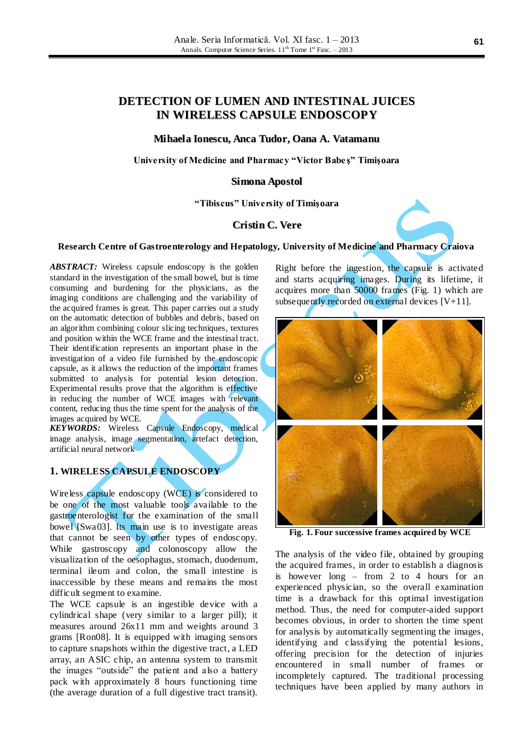# **DETECTION OF LUMEN AND INTESTINAL JUICES IN WIRELESS CAPSULE ENDOSCOPY**

#### **Mihaela Ionescu, Anca Tudor, Oana A. Vatamanu**

**University of Medicine and Pharmacy "Victor Babe ş" Timişoara**

#### **Simona Apostol**

**"Tibiscus" University of Timişoara**

### **Cristin C. Vere**



#### **Research Centre of Gastroenterology and Hepatology, University of Medicine and Pharmacy Craiova**

*ABSTRACT:* Wireless capsule endoscopy is the golden standard in the investigation of the small bowel, but is time consuming and burdening for the physicians, as the imaging conditions are challenging and the variability of the acquired frames is great. This paper carries out a study on the automatic detection of bubbles and debris, based on an algorithm combining colour slicing techniques, textures and position within the WCE frame and the intestinal tract. Their identification represents an important phase in the investigation of a video file furnished by the endoscopic capsule, as it allows the reduction of the important frames submitted to analysis for potential lesion detection. Experimental results prove that the algorithm is effective in reducing the number of WCE images with relevant content, reducing thus the time spent for the analysis of the images acquired by WCE.

*KEYWORDS:* Wireless Capsule Endoscopy, medical image analysis, image segmentation, artefact detection, artificial neural network

## **1. WIRELESS CAPSULE ENDOSCOPY**

Wireless capsule endoscopy (WCE) is considered to be one of the most valuable tools available to the gastroenterologist for the examination of the small bowel [Swa03]. Its main use is to investigate areas that cannot be seen by other types of endoscopy. While gastroscopy and colonoscopy allow the visualization of the oesophagus, stomach, duodenum, terminal ileum and colon, the small intestine is inaccessible by these means and remains the most difficult segment to examine.

The WCE capsule is an ingestible device with a cylindrical shape (very similar to a larger pill); it measures around 26x11 mm and weights around 3 grams [Ron08]. It is equipped with imaging sensors to capture snapshots within the digestive tract, a LED array, an ASIC chip, an antenna system to transmit the images "outside" the patient and also a battery pack with approximately 8 hours functioning time (the average duration of a full digestive tract transit). Right before the ingestion, the capsule is activated and starts acquiring images. During its lifetime, it acquires more than 50000 frames (Fig. 1) which are subsequently recorded on external devices  $[V+11]$ .



**Fig. 1. Four successive frames acquired by WCE**

The analysis of the video file, obtained by grouping the acquired frames, in order to establish a diagnosis is however long – from 2 to 4 hours for an experienced physician, so the overall examination time is a drawback for this optimal investigation method. Thus, the need for computer-aided support becomes obvious, in order to shorten the time spent for analysis by automatically segmenting the images, identifying and classifying the potential lesions, offering precision for the detection of injuries encountered in small number of frames or incompletely captured. The traditional processing techniques have been applied by many authors in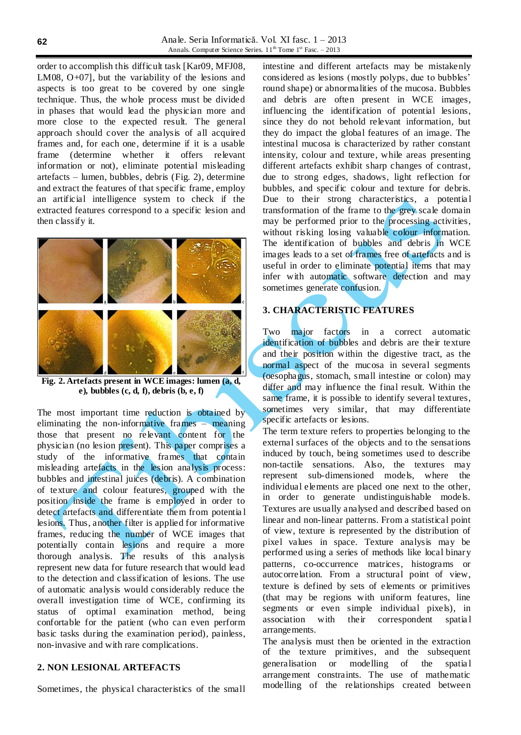order to accomplish this difficult task [Kar09, MFJ08, LM08, O+07], but the variability of the lesions and aspects is too great to be covered by one single technique. Thus, the whole process must be divided in phases that would lead the physician more and more close to the expected result. The general approach should cover the analysis of all acquired frames and, for each one, determine if it is a usable frame (determine whether it offers relevant information or not), eliminate potential misleading artefacts – lumen, bubbles, debris (Fig. 2), determine and extract the features of that specific frame, employ an artificial intelligence system to check if the extracted features correspond to a specific lesion and then classify it.



**Fig. 2. Artefacts present in WCE images: lumen (a, d, e), bubbles (c, d, f), debris (b, e, f)**

The most important time reduction is obtained by eliminating the non-informative frames – meaning those that present no relevant content for the physician (no lesion present). This paper comprises a study of the informative frames that contain misleading artefacts in the lesion analysis process: bubbles and intestinal juices (debris). A combination of texture and colour features, grouped with the position inside the frame is employed in order to detect artefacts and differentiate them from potentia l lesions. Thus, another filter is applied for informative frames, reducing the number of WCE images that potentially contain lesions and require a more thorough analysis. The results of this analysis represent new data for future research that would lead to the detection and classification of lesions. The use of automatic analysis would considerably reduce the overall investigation time of WCE, confirming its status of optimal examination method, being confortable for the patient (who can even perform basic tasks during the examination period), painless, non-invasive and with rare complications.

### **2. NON LESIONAL ARTEFACTS**

Sometimes, the physical characteristics of the small

intestine and different artefacts may be mistakenly considered as lesions (mostly polyps, due to bubbles' round shape) or abnormalities of the mucosa. Bubbles and debris are often present in WCE images, influencing the identification of potential lesions, since they do not behold relevant information, but they do impact the global features of an image. The intestinal mucosa is characterized by rather constant intensity, colour and texture, while areas presenting different artefacts exhibit sharp changes of contrast, due to strong edges, shadows, light reflection for bubbles, and specific colour and texture for debris. Due to their strong characteristics, a potential transformation of the frame to the grey scale domain may be performed prior to the processing activities, without risking losing valuable colour information. The identification of bubbles and debris in WCE images leads to a set of frames free of artefacts and is useful in order to eliminate potential items that may infer with automatic software detection and may sometimes generate confusion.

# **3. CHARACTERISTIC FEATURES**

Two major factors in a correct automatic identification of bubbles and debris are their texture and their position within the digestive tract, as the normal aspect of the mucosa in several segments (oesophagus, stomach, small intestine or colon) may differ and may influence the final result. Within the same frame, it is possible to identify several textures, sometimes very similar, that may differentiate specific artefacts or lesions.

The term texture refers to properties belonging to the external surfaces of the objects and to the sensations induced by touch, being sometimes used to describe non-tactile sensations. Also, the textures may represent sub-dimensioned models, where the individual elements are placed one next to the other, in order to generate undistinguishable models. Textures are usually analysed and described based on linear and non-linear patterns. From a statistical point of view, texture is represented by the distribution of pixel values in space. Texture analysis may be performed using a series of methods like local binary patterns, co-occurrence matrices, histograms or autocorrelation. From a structural point of view, texture is defined by sets of elements or primitives (that may be regions with uniform features, line segments or even simple individual pixels), in association with their correspondent spatia l arrangements.

The analysis must then be oriented in the extraction of the texture primitives, and the subsequent generalisation or modelling of the spatia l arrangement constraints. The use of mathematic modelling of the relationships created between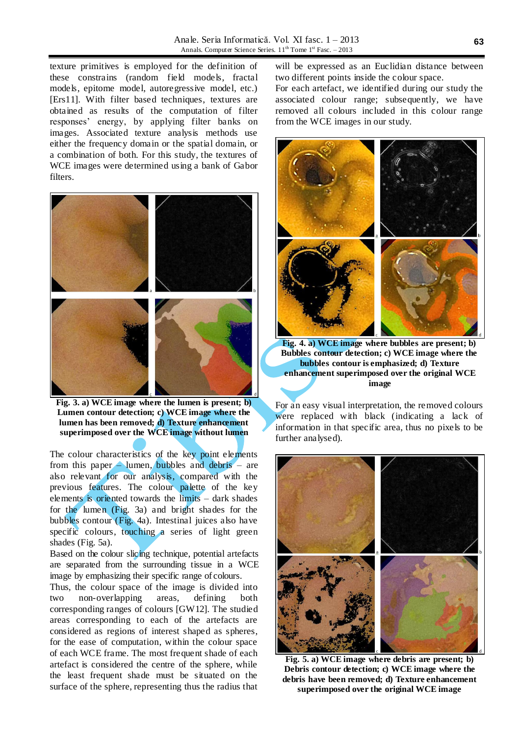texture primitives is employed for the definition of these constrains (random field models, fractal models, epitome model, autoregressive model, etc.) [Ers11]. With filter based techniques, textures are obtained as results of the computation of filter responses' energy, by applying filter banks on images. Associated texture analysis methods use either the frequency domain or the spatial domain, or a combination of both. For this study, the textures of WCE images were determined using a bank of Gabor filters.



**Fig. 3. a) WCE image where the lumen is present; b) Lumen contour detection; c) WCE image where the lumen has been removed; d) Texture enhancement superimposed over the WCE image without lumen**

The colour characteristics of the key point elements from this paper – lumen, bubbles and debris – are also relevant for our analysis, compared with the previous features. The colour palette of the key elements is oriented towards the limits – dark shades for the lumen (Fig. 3a) and bright shades for the bubbles contour (Fig. 4a). Intestinal juices also have specific colours, touching a series of light green shades (Fig. 5a).

Based on the colour slicing technique, potential artefacts are separated from the surrounding tissue in a WCE image by emphasizing their specific range of colours.

Thus, the colour space of the image is divided into two non-overlapping areas, defining both corresponding ranges of colours [GW12]. The studied areas corresponding to each of the artefacts are considered as regions of interest shaped as spheres, for the ease of computation, within the colour space of each WCE frame. The most frequent shade of each artefact is considered the centre of the sphere, while the least frequent shade must be situated on the surface of the sphere, representing thus the radius that

will be expressed as an Euclidian distance between two different points inside the colour space.

For each artefact, we identified during our study the associated colour range; subsequently, we have removed all colours included in this colour range from the WCE images in our study.



**Fig. 4. a) WCE image where bubbles are present; b) Bubbles contour detection; c) WCE image where the bubbles contour is emphasized; d) Texture enhancement superimposed over the original WCE image**

For an easy visual interpretation, the removed colours were replaced with black (indicating a lack of information in that specific area, thus no pixels to be further analysed).



**Fig. 5. a) WCE image where debris are present; b) Debris contour detection; c) WCE image where the debris have been removed; d) Texture enhancement superimposed over the original WCE image**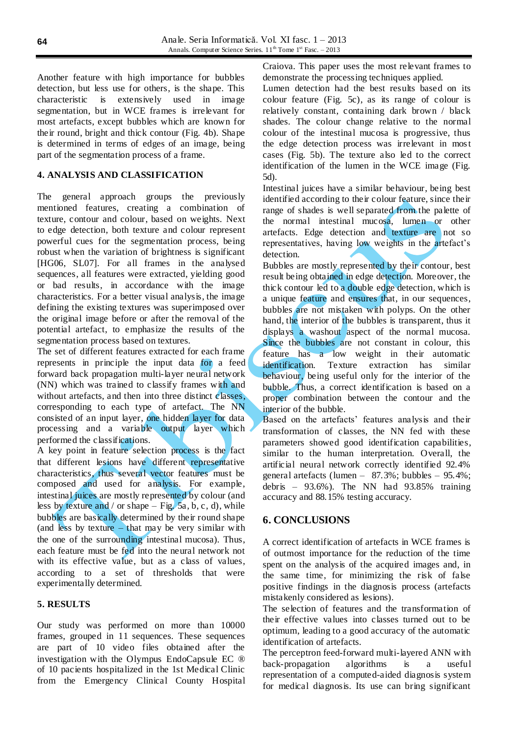Another feature with high importance for bubbles detection, but less use for others, is the shape. This characteristic is extensively used in image segmentation, but in WCE frames is irrelevant for most artefacts, except bubbles which are known for their round, bright and thick contour (Fig. 4b). Shape is determined in terms of edges of an image, being part of the segmentation process of a frame.

#### **4. ANALYSIS AND CLASSIFICATION**

The general approach groups the previously mentioned features, creating a combination of texture, contour and colour, based on weights. Next to edge detection, both texture and colour represent powerful cues for the segmentation process, being robust when the variation of brightness is significant [HG06, SL07]. For all frames in the analysed sequences, all features were extracted, yielding good or bad results, in accordance with the image characteristics. For a better visual analysis, the image defining the existing textures was superimposed over the original image before or after the removal of the potential artefact, to emphasize the results of the segmentation process based on textures.

The set of different features extracted for each frame represents in principle the input data for a feed forward back propagation multi-layer neural network (NN) which was trained to classify frames with and without artefacts, and then into three distinct classes, corresponding to each type of artefact. The NN consisted of an input layer, one hidden layer for data processing and a variable output layer which performed the classifications.

A key point in feature selection process is the fact that different lesions have different representative characteristics, thus several vector features must be composed and used for analysis. For example, intestinal juices are mostly represented by colour (and less by texture and / or shape – Fig. 5a, b, c, d), while bubbles are basically determined by their round shape (and less by texture – that may be very similar with the one of the surrounding intestinal mucosa). Thus, each feature must be fed into the neural network not with its effective value, but as a class of values, according to a set of thresholds that were experimentally determined.

#### **5. RESULTS**

Our study was performed on more than 10000 frames, grouped in 11 sequences. These sequences are part of 10 video files obtained after the investigation with the Olympus EndoCapsule EC ® of 10 pacients hospitalized in the 1st Medical Clinic from the Emergency Clinical County Hospital Craiova. This paper uses the most relevant frames to demonstrate the processing techniques applied.

Lumen detection had the best results based on its colour feature (Fig. 5c), as its range of colour is relatively constant, containing dark brown / black shades. The colour change relative to the normal colour of the intestinal mucosa is progressive, thus the edge detection process was irrelevant in most cases (Fig. 5b). The texture also led to the correct identification of the lumen in the WCE image (Fig. 5d).

Intestinal juices have a similar behaviour, being best identified according to their colour feature, since their range of shades is well separated from the palette of the normal intestinal mucosa, lumen or other artefacts. Edge detection and texture are not so representatives, having low weights in the artefact's detection.

Bubbles are mostly represented by their contour, best result being obtained in edge detection. Moreover, the thick contour led to a double edge detection, which is a unique feature and ensures that, in our sequences, bubbles are not mistaken with polyps. On the other hand, the interior of the bubbles is transparent, thus it displays a washout aspect of the normal mucosa. Since the bubbles are not constant in colour, this feature has a low weight in their automatic identification. Texture extraction has similar behaviour, being useful only for the interior of the bubble. Thus, a correct identification is based on a proper combination between the contour and the interior of the bubble.

Based on the artefacts' features analysis and their transformation of classes, the NN fed with these parameters showed good identification capabilities, similar to the human interpretation. Overall, the artificial neural network correctly identified 92.4% general artefacts (lumen – 87.3%; bubbles – 95.4%; debris –  $93.6\%$ ). The NN had  $93.85\%$  training accuracy and 88.15% testing accuracy.

### **6. CONCLUSIONS**

A correct identification of artefacts in WCE frames is of outmost importance for the reduction of the time spent on the analysis of the acquired images and, in the same time, for minimizing the risk of false positive findings in the diagnosis process (artefacts mistakenly considered as lesions).

The selection of features and the transformation of their effective values into classes turned out to be optimum, leading to a good accuracy of the automatic identification of artefacts.

The perceptron feed-forward multi-layered ANN with back-propagation algorithms is a useful representation of a computed-aided diagnosis system for medical diagnosis. Its use can bring significant